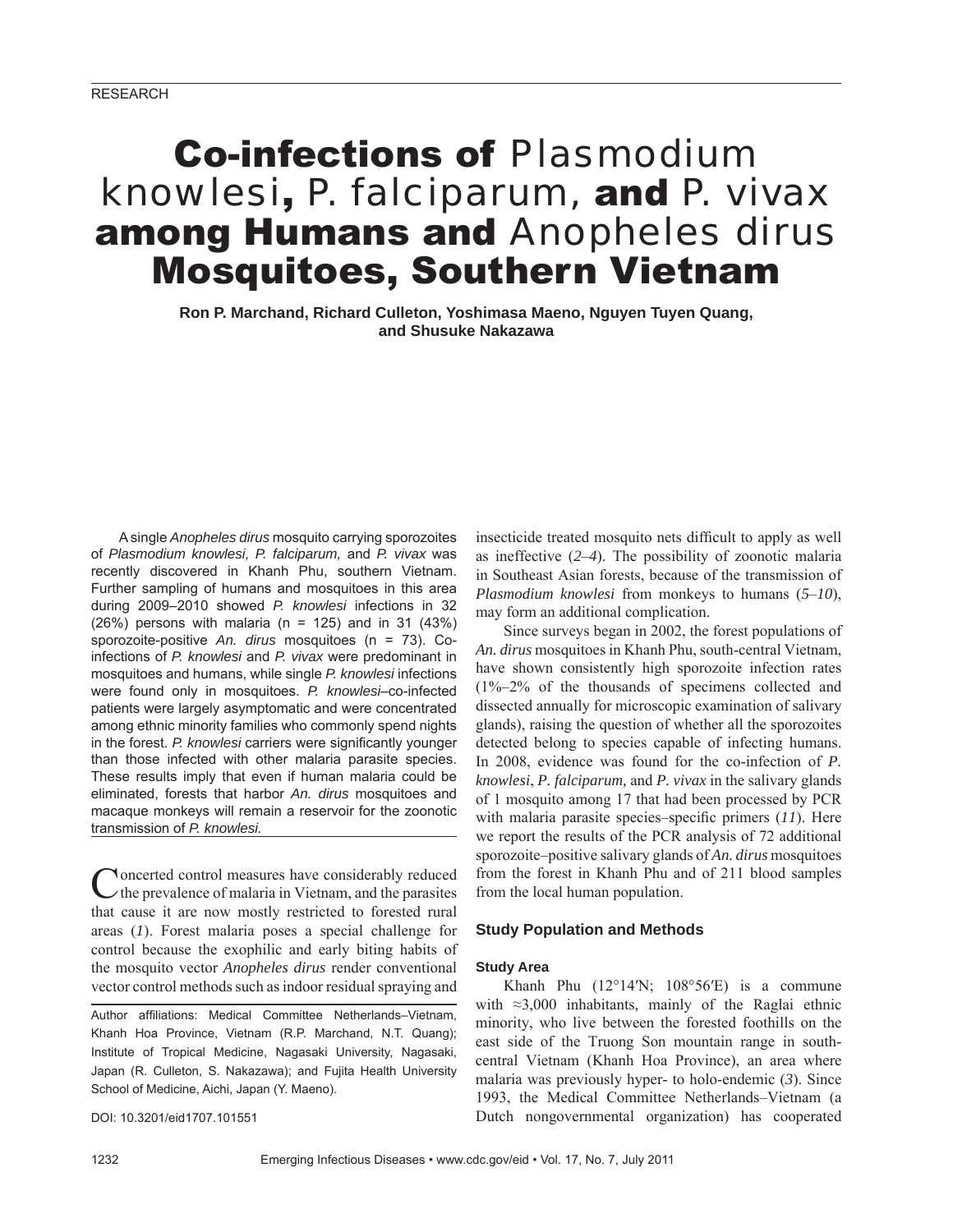# Co-infections of *Plasmodium knowlesi*, *P. falciparum,* and *P. vivax* among Humans and *Anopheles dirus* Mosquitoes, Southern Vietnam

**Ron P. Marchand, Richard Culleton, Yoshimasa Maeno, Nguyen Tuyen Quang, and Shusuke Nakazawa**

A single *Anopheles dirus* mosquito carrying sporozoites of *Plasmodium knowlesi, P. falciparum,* and *P. vivax* was recently discovered in Khanh Phu, southern Vietnam. Further sampling of humans and mosquitoes in this area during 2009–2010 showed *P. knowlesi* infections in 32  $(26%)$  persons with malaria (n = 125) and in 31  $(43%)$ sporozoite-positive *An. dirus* mosquitoes (n = 73). Coinfections of *P. knowlesi* and *P. vivax* were predominant in mosquitoes and humans, while single *P. knowlesi* infections were found only in mosquitoes. *P. knowlesi*–co-infected patients were largely asymptomatic and were concentrated among ethnic minority families who commonly spend nights in the forest. P. knowlesi carriers were significantly younger than those infected with other malaria parasite species. These results imply that even if human malaria could be eliminated, forests that harbor *An. dirus* mosquitoes and macaque monkeys will remain a reservoir for the zoonotic transmission of *P. knowlesi.*

**Noncerted control measures have considerably reduced**  $\vee$ the prevalence of malaria in Vietnam, and the parasites that cause it are now mostly restricted to forested rural areas (*1*). Forest malaria poses a special challenge for control because the exophilic and early biting habits of the mosquito vector *Anopheles dirus* render conventional vector control methods such as indoor residual spraying and

Author affiliations: Medical Committee Netherlands–Vietnam, Khanh Hoa Province, Vietnam (R.P. Marchand, N.T. Quang); Institute of Tropical Medicine, Nagasaki University, Nagasaki, Japan (R. Culleton, S. Nakazawa); and Fujita Health University School of Medicine, Aichi, Japan (Y. Maeno).

DOI: 10.3201/eid1707.101551

insecticide treated mosquito nets difficult to apply as well as ineffective (*2*–*4*). The possibility of zoonotic malaria in Southeast Asian forests, because of the transmission of *Plasmodium knowlesi* from monkeys to humans (*5*–*10*), may form an additional complication.

Since surveys began in 2002, the forest populations of *An. dirus* mosquitoes in Khanh Phu, south-central Vietnam, have shown consistently high sporozoite infection rates (1%–2% of the thousands of specimens collected and dissected annually for microscopic examination of salivary glands), raising the question of whether all the sporozoites detected belong to species capable of infecting humans. In 2008, evidence was found for the co-infection of *P. knowlesi*, *P. falciparum,* and *P. vivax* in the salivary glands of 1 mosquito among 17 that had been processed by PCR with malaria parasite species–specific primers (11). Here we report the results of the PCR analysis of 72 additional sporozoite–positive salivary glands of *An. dirus* mosquitoes from the forest in Khanh Phu and of 211 blood samples from the local human population.

# **Study Population and Methods**

#### **Study Area**

Khanh Phu  $(12^{\circ}14'N; 108^{\circ}56'E)$  is a commune with ≈3,000 inhabitants, mainly of the Raglai ethnic minority, who live between the forested foothills on the east side of the Truong Son mountain range in southcentral Vietnam (Khanh Hoa Province), an area where malaria was previously hyper- to holo-endemic (*3*). Since 1993, the Medical Committee Netherlands–Vietnam (a Dutch nongovernmental organization) has cooperated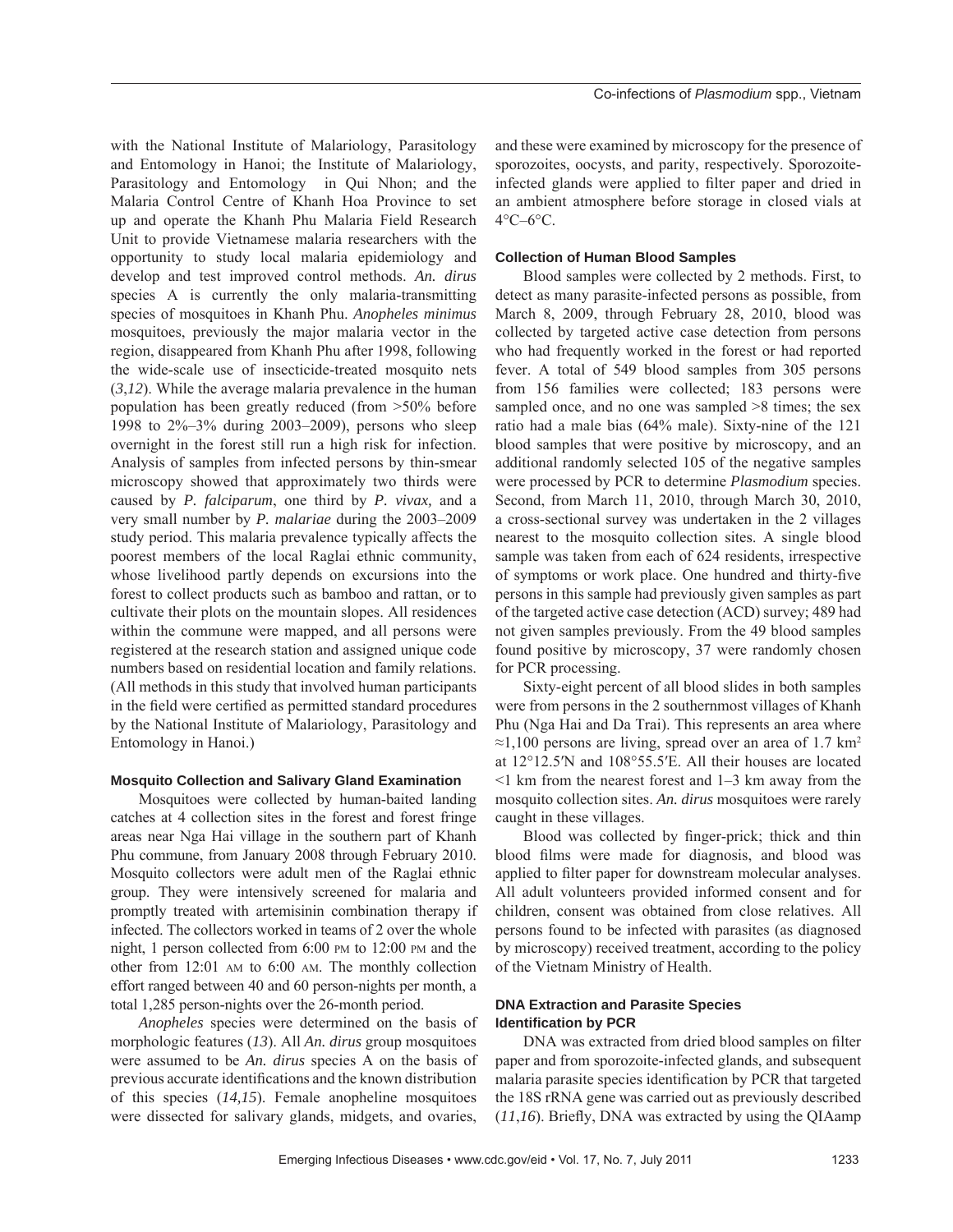with the National Institute of Malariology, Parasitology and Entomology in Hanoi; the Institute of Malariology, Parasitology and Entomology in Qui Nhon; and the Malaria Control Centre of Khanh Hoa Province to set up and operate the Khanh Phu Malaria Field Research Unit to provide Vietnamese malaria researchers with the opportunity to study local malaria epidemiology and develop and test improved control methods. *An. dirus* species A is currently the only malaria-transmitting species of mosquitoes in Khanh Phu. *Anopheles minimus* mosquitoes, previously the major malaria vector in the region, disappeared from Khanh Phu after 1998, following the wide-scale use of insecticide-treated mosquito nets (*3*,*12*). While the average malaria prevalence in the human population has been greatly reduced (from >50% before 1998 to 2%–3% during 2003–2009), persons who sleep overnight in the forest still run a high risk for infection. Analysis of samples from infected persons by thin-smear microscopy showed that approximately two thirds were caused by *P. falciparum*, one third by *P. vivax,* and a very small number by *P. malariae* during the 2003–2009 study period. This malaria prevalence typically affects the poorest members of the local Raglai ethnic community, whose livelihood partly depends on excursions into the forest to collect products such as bamboo and rattan, or to cultivate their plots on the mountain slopes. All residences within the commune were mapped, and all persons were registered at the research station and assigned unique code numbers based on residential location and family relations. (All methods in this study that involved human participants in the field were certified as permitted standard procedures by the National Institute of Malariology, Parasitology and Entomology in Hanoi.)

## **Mosquito Collection and Salivary Gland Examination**

Mosquitoes were collected by human-baited landing catches at 4 collection sites in the forest and forest fringe areas near Nga Hai village in the southern part of Khanh Phu commune, from January 2008 through February 2010. Mosquito collectors were adult men of the Raglai ethnic group. They were intensively screened for malaria and promptly treated with artemisinin combination therapy if infected. The collectors worked in teams of 2 over the whole night, 1 person collected from 6:00 PM to 12:00 PM and the other from 12:01 AM to 6:00 AM. The monthly collection effort ranged between 40 and 60 person-nights per month, a total 1,285 person-nights over the 26-month period.

*Anopheles* species were determined on the basis of morphologic features (*13*). All *An. dirus* group mosquitoes were assumed to be *An. dirus* species A on the basis of previous accurate identifications and the known distribution of this species (*14,15*). Female anopheline mosquitoes were dissected for salivary glands, midgets, and ovaries,

and these were examined by microscopy for the presence of sporozoites, oocysts, and parity, respectively. Sporozoiteinfected glands were applied to filter paper and dried in an ambient atmosphere before storage in closed vials at 4°C–6°C.

#### **Collection of Human Blood Samples**

Blood samples were collected by 2 methods. First, to detect as many parasite-infected persons as possible, from March 8, 2009, through February 28, 2010, blood was collected by targeted active case detection from persons who had frequently worked in the forest or had reported fever. A total of 549 blood samples from 305 persons from 156 families were collected; 183 persons were sampled once, and no one was sampled  $>8$  times; the sex ratio had a male bias (64% male). Sixty-nine of the 121 blood samples that were positive by microscopy, and an additional randomly selected 105 of the negative samples were processed by PCR to determine *Plasmodium* species. Second, from March 11, 2010, through March 30, 2010, a cross-sectional survey was undertaken in the 2 villages nearest to the mosquito collection sites. A single blood sample was taken from each of 624 residents, irrespective of symptoms or work place. One hundred and thirty-five persons in this sample had previously given samples as part of the targeted active case detection (ACD) survey; 489 had not given samples previously. From the 49 blood samples found positive by microscopy, 37 were randomly chosen for PCR processing.

Sixty-eight percent of all blood slides in both samples were from persons in the 2 southernmost villages of Khanh Phu (Nga Hai and Da Trai). This represents an area where  $\approx$ 1,100 persons are living, spread over an area of 1.7 km<sup>2</sup> at 12°12.5′N and 108°55.5′E. All their houses are located  $\leq$ 1 km from the nearest forest and 1–3 km away from the mosquito collection sites. *An. dirus* mosquitoes were rarely caught in these villages.

Blood was collected by finger-prick; thick and thin blood films were made for diagnosis, and blood was applied to filter paper for downstream molecular analyses. All adult volunteers provided informed consent and for children, consent was obtained from close relatives. All persons found to be infected with parasites (as diagnosed by microscopy) received treatment, according to the policy of the Vietnam Ministry of Health.

## **DNA Extraction and Parasite Species Identifi cation by PCR**

DNA was extracted from dried blood samples on filter paper and from sporozoite-infected glands, and subsequent malaria parasite species identification by PCR that targeted the 18S rRNA gene was carried out as previously described  $(11,16)$ . Briefly, DNA was extracted by using the OIAamp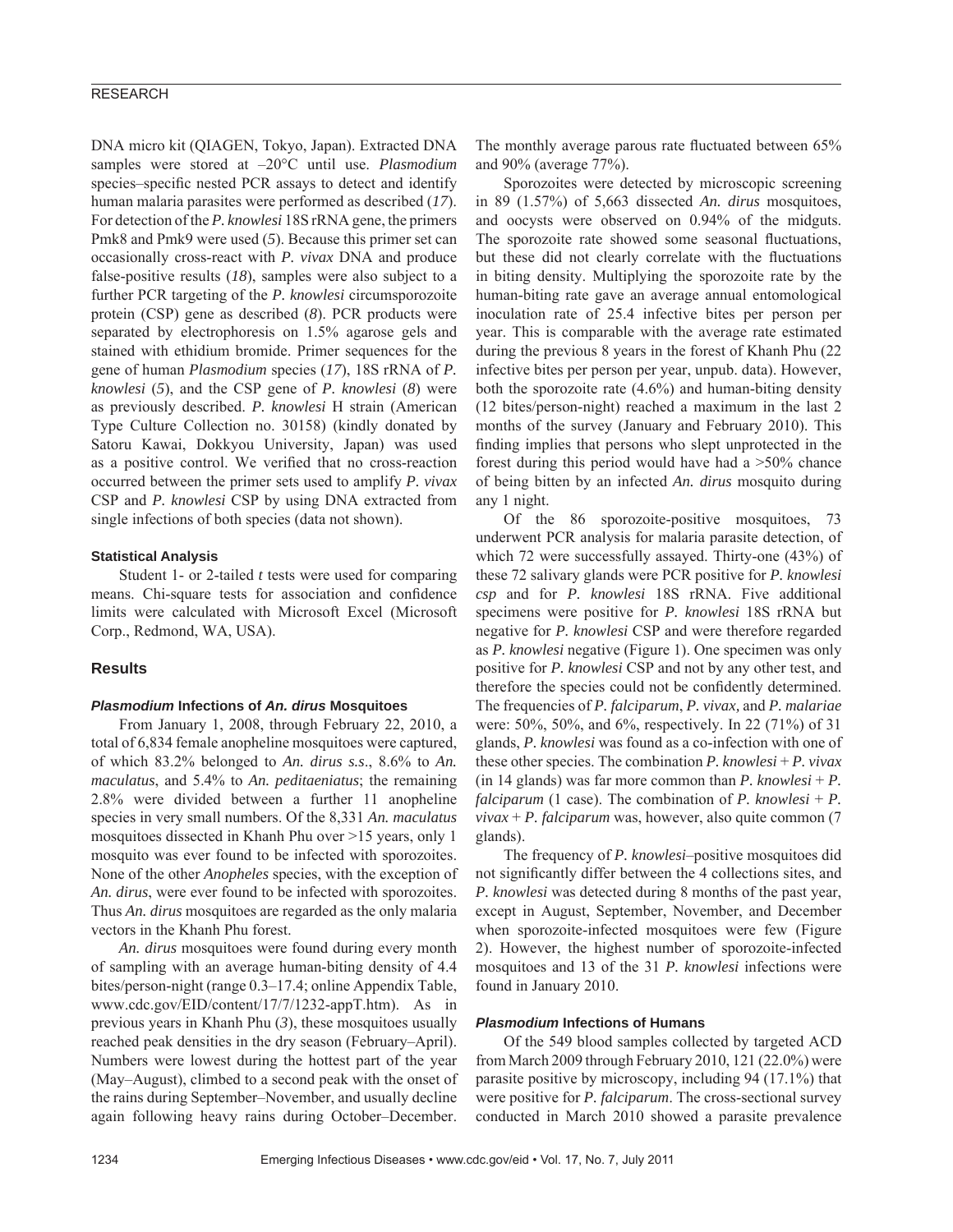# RESEARCH

DNA micro kit (QIAGEN, Tokyo, Japan). Extracted DNA samples were stored at –20°C until use. *Plasmodium* species–specific nested PCR assays to detect and identify human malaria parasites were performed as described (*17*). For detection of the *P. knowlesi* 18S rRNA gene, the primers Pmk8 and Pmk9 were used (*5*). Because this primer set can occasionally cross-react with *P. vivax* DNA and produce false-positive results (*18*), samples were also subject to a further PCR targeting of the *P. knowlesi* circumsporozoite protein (CSP) gene as described (*8*). PCR products were separated by electrophoresis on 1.5% agarose gels and stained with ethidium bromide. Primer sequences for the gene of human *Plasmodium* species (*17*), 18S rRNA of *P. knowlesi* (*5*), and the CSP gene of *P. knowlesi* (*8*) were as previously described. *P. knowlesi* H strain (American Type Culture Collection no. 30158) (kindly donated by Satoru Kawai, Dokkyou University, Japan) was used as a positive control. We verified that no cross-reaction occurred between the primer sets used to amplify *P. vivax* CSP and *P. knowlesi* CSP by using DNA extracted from single infections of both species (data not shown).

## **Statistical Analysis**

Student 1- or 2-tailed *t* tests were used for comparing means. Chi-square tests for association and confidence limits were calculated with Microsoft Excel (Microsoft Corp., Redmond, WA, USA).

# **Results**

#### *Plasmodium* **Infections of** *An. dirus* **Mosquitoes**

From January 1, 2008, through February 22, 2010, a total of 6,834 female anopheline mosquitoes were captured, of which 83.2% belonged to *An. dirus s.s*., 8.6% to *An. maculatus*, and 5.4% to *An. peditaeniatus*; the remaining 2.8% were divided between a further 11 anopheline species in very small numbers. Of the 8,331 *An. maculatus* mosquitoes dissected in Khanh Phu over >15 years, only 1 mosquito was ever found to be infected with sporozoites. None of the other *Anopheles* species, with the exception of *An. dirus*, were ever found to be infected with sporozoites. Thus *An. dirus* mosquitoes are regarded as the only malaria vectors in the Khanh Phu forest.

*An. dirus* mosquitoes were found during every month of sampling with an average human-biting density of 4.4 bites/person-night (range 0.3–17.4; online Appendix Table, www.cdc.gov/EID/content/17/7/1232-appT.htm). As in previous years in Khanh Phu (*3*), these mosquitoes usually reached peak densities in the dry season (February–April). Numbers were lowest during the hottest part of the year (May–August), climbed to a second peak with the onset of the rains during September–November, and usually decline again following heavy rains during October–December. The monthly average parous rate fluctuated between 65% and 90% (average 77%).

Sporozoites were detected by microscopic screening in 89 (1.57%) of 5,663 dissected *An. dirus* mosquitoes, and oocysts were observed on 0.94% of the midguts. The sporozoite rate showed some seasonal fluctuations, but these did not clearly correlate with the fluctuations in biting density. Multiplying the sporozoite rate by the human-biting rate gave an average annual entomological inoculation rate of 25.4 infective bites per person per year. This is comparable with the average rate estimated during the previous 8 years in the forest of Khanh Phu (22 infective bites per person per year, unpub. data). However, both the sporozoite rate (4.6%) and human-biting density (12 bites/person-night) reached a maximum in the last 2 months of the survey (January and February 2010). This finding implies that persons who slept unprotected in the forest during this period would have had a >50% chance of being bitten by an infected *An. dirus* mosquito during any 1 night.

Of the 86 sporozoite-positive mosquitoes, 73 underwent PCR analysis for malaria parasite detection, of which 72 were successfully assayed. Thirty-one (43%) of these 72 salivary glands were PCR positive for *P. knowlesi csp* and for *P. knowlesi* 18S rRNA. Five additional specimens were positive for *P. knowlesi* 18S rRNA but negative for *P. knowlesi* CSP and were therefore regarded as *P. knowlesi* negative (Figure 1). One specimen was only positive for *P. knowlesi* CSP and not by any other test, and therefore the species could not be confidently determined. The frequencies of *P. falciparum*, *P. vivax,* and *P. malariae* were: 50%, 50%, and 6%, respectively. In 22 (71%) of 31 glands, *P. knowlesi* was found as a co-infection with one of these other species. The combination *P. knowlesi* + *P. vivax*  $(in 14$  glands) was far more common than *P. knowlesi* + *P. falciparum* (1 case). The combination of *P. knowlesi* + *P. vivax* + *P. falciparum* was, however, also quite common (7 glands).

The frequency of *P. knowlesi*–positive mosquitoes did not significantly differ between the 4 collections sites, and *P. knowlesi* was detected during 8 months of the past year, except in August, September, November, and December when sporozoite-infected mosquitoes were few (Figure 2). However, the highest number of sporozoite-infected mosquitoes and 13 of the 31 *P. knowlesi* infections were found in January 2010.

#### *Plasmodium* **Infections of Humans**

Of the 549 blood samples collected by targeted ACD from March 2009 through February 2010, 121 (22.0%) were parasite positive by microscopy, including 94 (17.1%) that were positive for *P. falciparum*. The cross-sectional survey conducted in March 2010 showed a parasite prevalence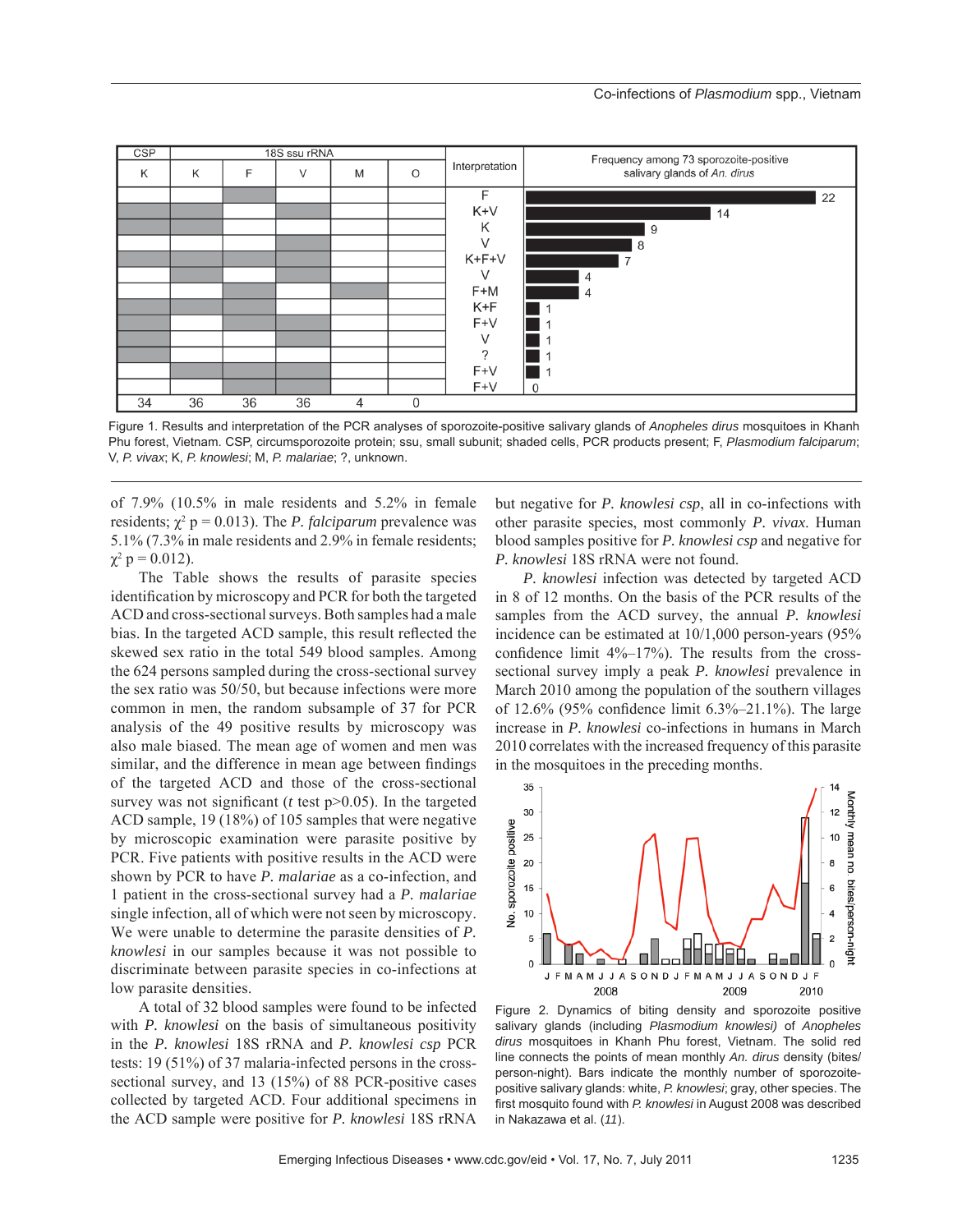

Figure 1. Results and interpretation of the PCR analyses of sporozoite-positive salivary glands of *Anopheles dirus* mosquitoes in Khanh Phu forest, Vietnam. CSP, circumsporozoite protein; ssu, small subunit; shaded cells, PCR products present; F, *Plasmodium falciparum*; V, *P. vivax*; K, *P. knowlesi*; M, *P. malariae*; ?, unknown.

of 7.9% (10.5% in male residents and 5.2% in female residents;  $\chi^2$  p = 0.013). The *P. falciparum* prevalence was 5.1% (7.3% in male residents and 2.9% in female residents;  $\chi^2$  p = 0.012).

The Table shows the results of parasite species identification by microscopy and PCR for both the targeted ACD and cross-sectional surveys. Both samples had a male bias. In the targeted ACD sample, this result reflected the skewed sex ratio in the total 549 blood samples. Among the 624 persons sampled during the cross-sectional survey the sex ratio was 50/50, but because infections were more common in men, the random subsample of 37 for PCR analysis of the 49 positive results by microscopy was also male biased. The mean age of women and men was similar, and the difference in mean age between findings of the targeted ACD and those of the cross-sectional survey was not significant ( $t$  test  $p > 0.05$ ). In the targeted ACD sample, 19 (18%) of 105 samples that were negative by microscopic examination were parasite positive by PCR. Five patients with positive results in the ACD were shown by PCR to have *P. malariae* as a co-infection, and 1 patient in the cross-sectional survey had a *P. malariae* single infection, all of which were not seen by microscopy. We were unable to determine the parasite densities of *P. knowlesi* in our samples because it was not possible to discriminate between parasite species in co-infections at low parasite densities.

A total of 32 blood samples were found to be infected with *P. knowlesi* on the basis of simultaneous positivity in the *P. knowlesi* 18S rRNA and *P. knowlesi csp* PCR tests: 19 (51%) of 37 malaria-infected persons in the crosssectional survey, and 13 (15%) of 88 PCR-positive cases collected by targeted ACD. Four additional specimens in the ACD sample were positive for *P. knowlesi* 18S rRNA

but negative for *P. knowlesi csp*, all in co-infections with other parasite species, most commonly *P. vivax*. Human blood samples positive for *P. knowlesi csp* and negative for *P. knowlesi* 18S rRNA were not found.

*P. knowlesi* infection was detected by targeted ACD in 8 of 12 months. On the basis of the PCR results of the samples from the ACD survey, the annual *P. knowlesi* incidence can be estimated at 10/1,000 person-years (95% confidence limit  $4\%$ –17%). The results from the crosssectional survey imply a peak *P. knowlesi* prevalence in March 2010 among the population of the southern villages of 12.6% (95% confidence limit  $6.3\% -21.1\%$ ). The large increase in *P. knowlesi* co-infections in humans in March 2010 correlates with the increased frequency of this parasite in the mosquitoes in the preceding months.



Figure 2. Dynamics of biting density and sporozoite positive salivary glands (including *Plasmodium knowlesi)* of *Anopheles dirus* mosquitoes in Khanh Phu forest, Vietnam. The solid red line connects the points of mean monthly *An. dirus* density (bites/ person-night). Bars indicate the monthly number of sporozoitepositive salivary glands: white, *P. knowlesi*; gray, other species. The first mosquito found with *P. knowlesi* in August 2008 was described in Nakazawa et al. (*11*).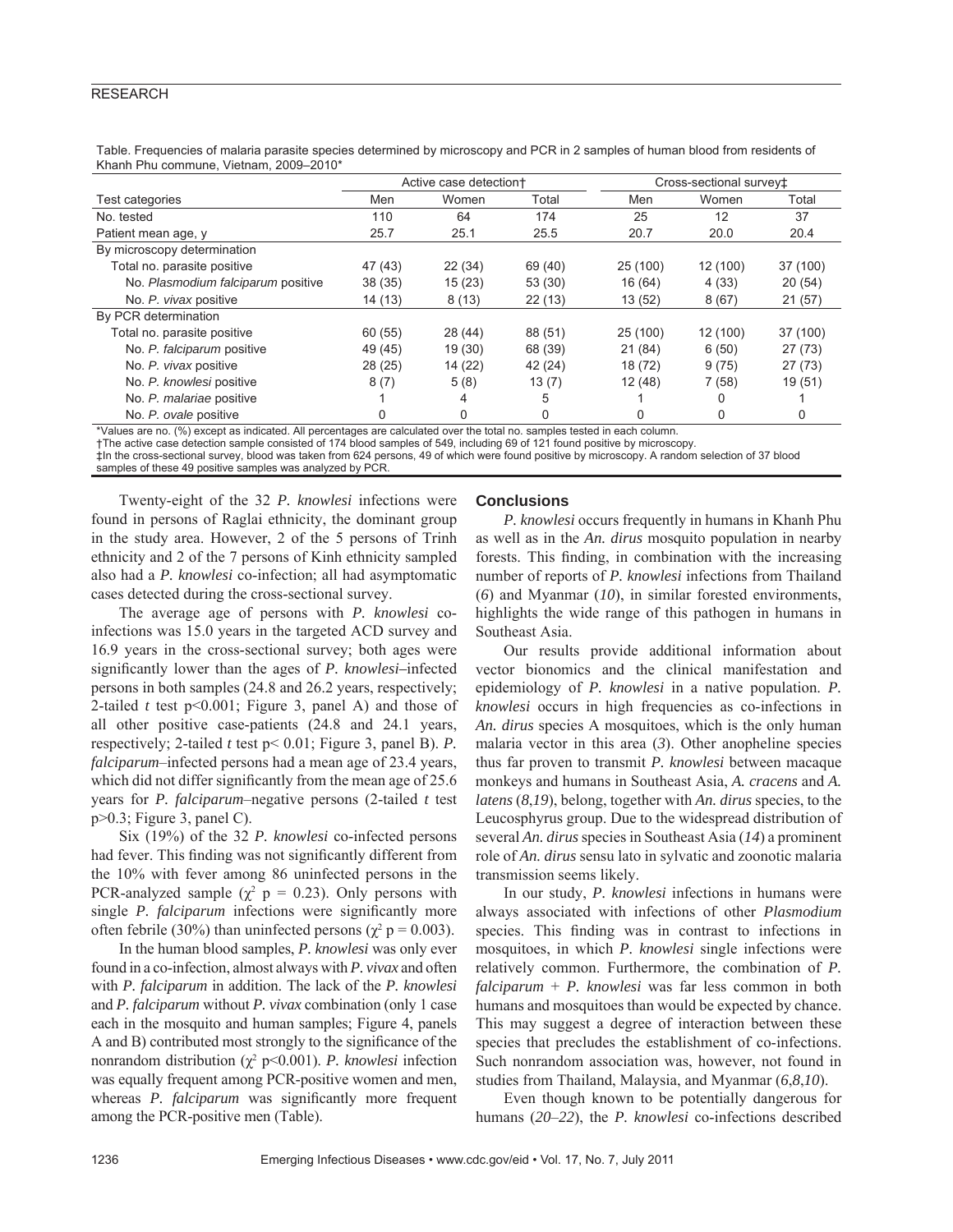# RESEARCH

|                                    | Active case detection+ |         |         | Cross-sectional survey± |          |          |
|------------------------------------|------------------------|---------|---------|-------------------------|----------|----------|
| Test categories                    | Men                    | Women   | Total   | Men                     | Women    | Total    |
| No. tested                         | 110                    | 64      | 174     | 25                      | 12       | 37       |
| Patient mean age, y                | 25.7                   | 25.1    | 25.5    | 20.7                    | 20.0     | 20.4     |
| By microscopy determination        |                        |         |         |                         |          |          |
| Total no. parasite positive        | 47 (43)                | 22(34)  | 69 (40) | 25(100)                 | 12 (100) | 37 (100) |
| No. Plasmodium falciparum positive | 38(35)                 | 15(23)  | 53 (30) | 16 (64)                 | 4(33)    | 20(54)   |
| No. P. vivax positive              | 14 (13)                | 8(13)   | 22(13)  | 13(52)                  | 8(67)    | 21(57)   |
| By PCR determination               |                        |         |         |                         |          |          |
| Total no. parasite positive        | 60 (55)                | 28(44)  | 88 (51) | 25 (100)                | 12 (100) | 37 (100) |
| No. P. falciparum positive         | 49 (45)                | 19 (30) | 68 (39) | 21 (84)                 | 6(50)    | 27(73)   |
| No. P. vivax positive              | 28(25)                 | 14 (22) | 42 (24) | 18 (72)                 | 9(75)    | 27(73)   |
| No. P. knowlesi positive           | 8(7)                   | 5(8)    | 13(7)   | 12(48)                  | 7(58)    | 19(51)   |
| No. P. malariae positive           |                        | 4       | 5       |                         | 0        |          |
| No. P. ovale positive              |                        | 0       | 0       |                         | 0        | 0        |

Table. Frequencies of malaria parasite species determined by microscopy and PCR in 2 samples of human blood from residents of Khanh Phu commune, Vietnam, 2009–2010\*

\*Values are no. (%) except as indicated. All percentages are calculated over the total no. samples tested in each column.

†The active case detection sample consisted of 174 blood samples of 549, including 69 of 121 found positive by microscopy.

‡In the cross-sectional survey, blood was taken from 624 persons, 49 of which were found positive by microscopy. A random selection of 37 blood samples of these 49 positive samples was analyzed by PCR.

Twenty-eight of the 32 *P. knowlesi* infections were found in persons of Raglai ethnicity, the dominant group in the study area. However, 2 of the 5 persons of Trinh ethnicity and 2 of the 7 persons of Kinh ethnicity sampled also had a *P. knowlesi* co-infection; all had asymptomatic cases detected during the cross-sectional survey.

The average age of persons with *P. knowlesi* coinfections was 15.0 years in the targeted ACD survey and 16.9 years in the cross-sectional survey; both ages were significantly lower than the ages of *P. knowlesi*–infected persons in both samples (24.8 and 26.2 years, respectively; 2-tailed *t* test p<0.001; Figure 3, panel A) and those of all other positive case-patients (24.8 and 24.1 years, respectively; 2-tailed *t* test p< 0.01; Figure 3, panel B). *P. falciparum*–infected persons had a mean age of 23.4 years, which did not differ significantly from the mean age of 25.6 years for *P. falciparum*–negative persons (2-tailed *t* test p>0.3; Figure 3, panel C).

Six (19%) of the 32 *P. knowlesi* co-infected persons had fever. This finding was not significantly different from the 10% with fever among 86 uninfected persons in the PCR-analyzed sample ( $\chi^2$  p = 0.23). Only persons with single *P. falciparum* infections were significantly more often febrile (30%) than uninfected persons ( $\chi^2$  p = 0.003).

In the human blood samples, *P. knowlesi* was only ever found in a co-infection, almost always with *P. vivax* and often with *P. falciparum* in addition. The lack of the *P. knowlesi* and *P. falciparum* without *P. vivax* combination (only 1 case each in the mosquito and human samples; Figure 4, panels A and B) contributed most strongly to the significance of the nonrandom distribution ( $\chi^2$  p<0.001). *P. knowlesi* infection was equally frequent among PCR-positive women and men, whereas *P. falciparum* was significantly more frequent among the PCR-positive men (Table).

# **Conclusions**

*P. knowlesi* occurs frequently in humans in Khanh Phu as well as in the *An. dirus* mosquito population in nearby forests. This finding, in combination with the increasing number of reports of *P. knowlesi* infections from Thailand (*6*) and Myanmar (*10*), in similar forested environments, highlights the wide range of this pathogen in humans in Southeast Asia.

Our results provide additional information about vector bionomics and the clinical manifestation and epidemiology of *P. knowlesi* in a native population. *P. knowlesi* occurs in high frequencies as co-infections in *An. dirus* species A mosquitoes, which is the only human malaria vector in this area (*3*). Other anopheline species thus far proven to transmit *P. knowlesi* between macaque monkeys and humans in Southeast Asia, *A. cracens* and *A. latens* (*8*,*19*), belong, together with *An. dirus* species, to the Leucosphyrus group. Due to the widespread distribution of several *An. dirus* species in Southeast Asia (*14*) a prominent role of *An. dirus* sensu lato in sylvatic and zoonotic malaria transmission seems likely.

In our study, *P. knowlesi* infections in humans were always associated with infections of other *Plasmodium*  species. This finding was in contrast to infections in mosquitoes, in which *P. knowlesi* single infections were relatively common. Furthermore, the combination of *P. falciparum* + *P. knowlesi* was far less common in both humans and mosquitoes than would be expected by chance. This may suggest a degree of interaction between these species that precludes the establishment of co-infections. Such nonrandom association was, however, not found in studies from Thailand, Malaysia, and Myanmar (*6*,*8*,*10*).

Even though known to be potentially dangerous for humans (*20*–*22*), the *P. knowlesi* co-infections described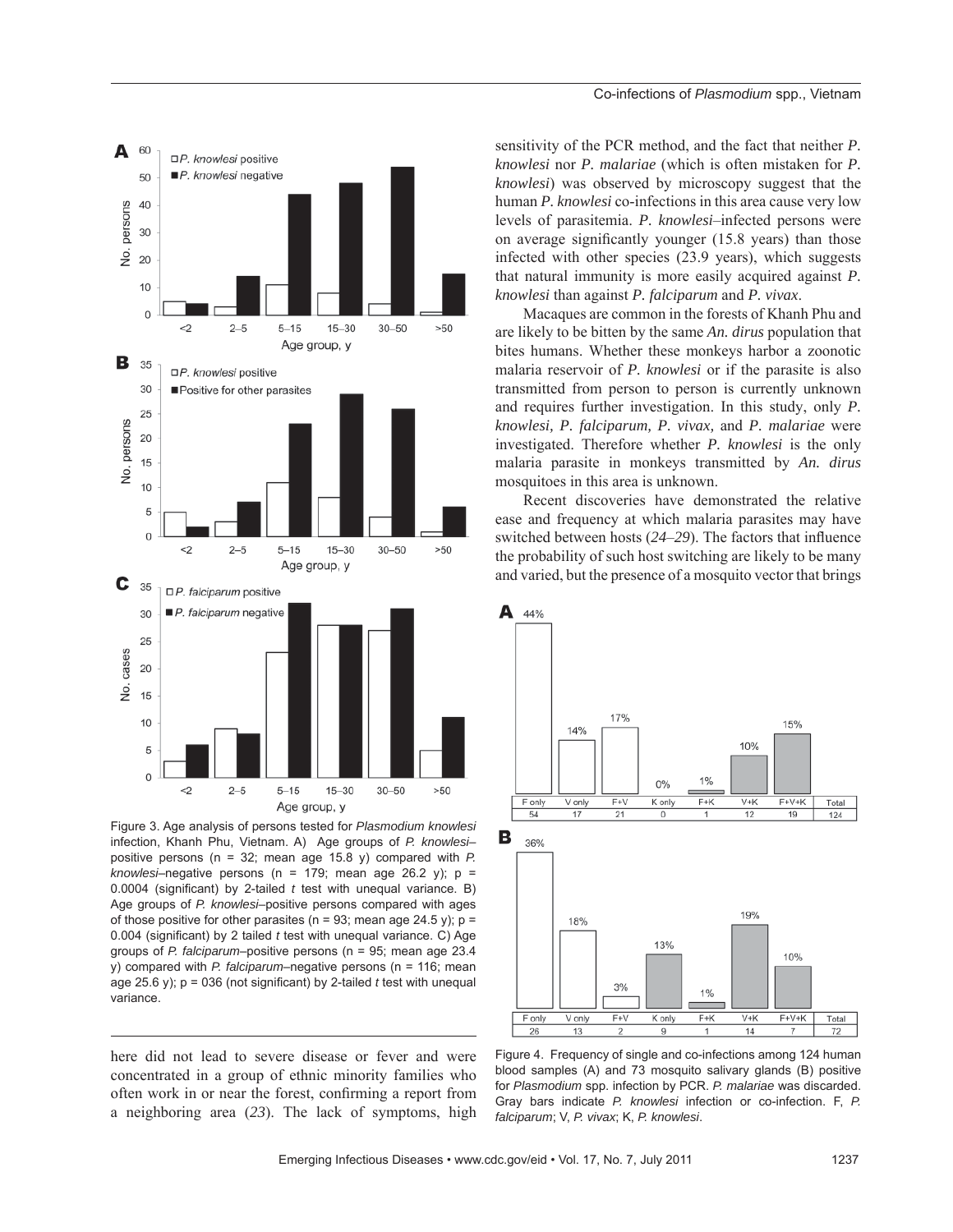

Figure 3. Age analysis of persons tested for *Plasmodium knowlesi* infection, Khanh Phu, Vietnam. A) Age groups of *P. knowlesi–* positive persons (n = 32; mean age 15.8 y) compared with *P. knowlesi*–negative persons (n = 179; mean age 26.2 y); p = 0.0004 (significant) by 2-tailed *t* test with unequal variance. B) Age groups of *P. knowlesi–*positive persons compared with ages of those positive for other parasites ( $n = 93$ ; mean age 24.5 y);  $p =$ 0.004 (significant) by 2 tailed *t* test with unequal variance. C) Age groups of *P. falciparum*–positive persons (n = 95; mean age 23.4 y) compared with *P. falciparum*–negative persons (n = 116; mean age 25.6 y);  $p = 036$  (not significant) by 2-tailed  $t$  test with unequal variance.

here did not lead to severe disease or fever and were concentrated in a group of ethnic minority families who often work in or near the forest, confirming a report from a neighboring area (*23*). The lack of symptoms, high sensitivity of the PCR method, and the fact that neither *P. knowlesi* nor *P. malariae* (which is often mistaken for *P. knowlesi*) was observed by microscopy suggest that the human *P. knowlesi* co-infections in this area cause very low levels of parasitemia. *P. knowlesi*–infected persons were on average significantly younger  $(15.8 \text{ years})$  than those infected with other species (23.9 years), which suggests that natural immunity is more easily acquired against *P. knowlesi* than against *P. falciparum* and *P. vivax*.

Macaques are common in the forests of Khanh Phu and are likely to be bitten by the same *An. dirus* population that bites humans. Whether these monkeys harbor a zoonotic malaria reservoir of *P. knowlesi* or if the parasite is also transmitted from person to person is currently unknown and requires further investigation. In this study, only *P. knowlesi, P. falciparum, P. vivax,* and *P. malariae* were investigated. Therefore whether *P. knowlesi* is the only malaria parasite in monkeys transmitted by *An. dirus* mosquitoes in this area is unknown.

Recent discoveries have demonstrated the relative ease and frequency at which malaria parasites may have switched between hosts (24–29). The factors that influence the probability of such host switching are likely to be many and varied, but the presence of a mosquito vector that brings



Figure 4. Frequency of single and co-infections among 124 human blood samples (A) and 73 mosquito salivary glands (B) positive for *Plasmodium* spp. infection by PCR. *P. malariae* was discarded. Gray bars indicate *P. knowlesi* infection or co-infection. F, *P. falciparum*; V, *P. vivax*; K, *P. knowlesi*.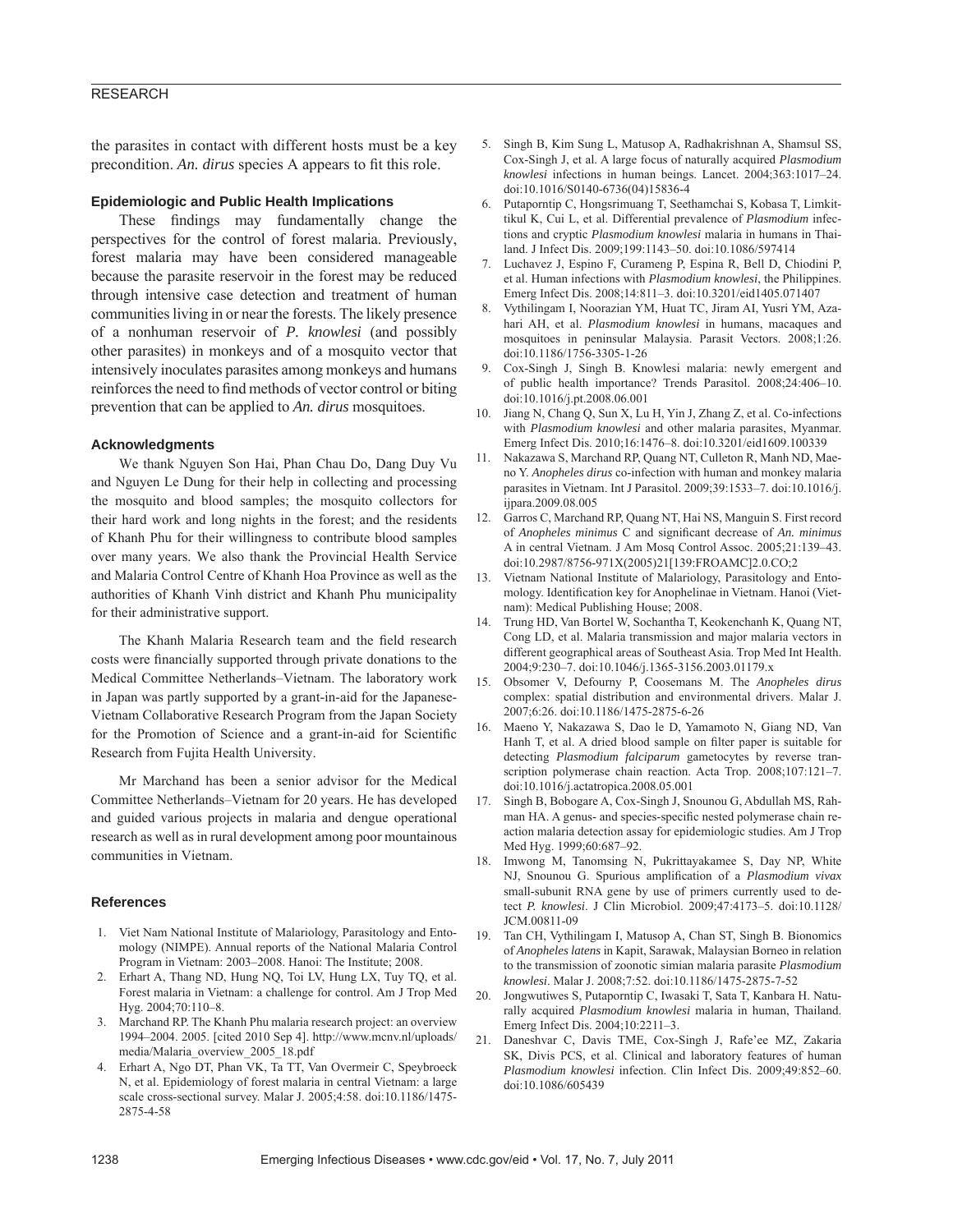# RESEARCH

the parasites in contact with different hosts must be a key precondition. *An. dirus* species A appears to fit this role.

#### **Epidemiologic and Public Health Implications**

These findings may fundamentally change the perspectives for the control of forest malaria. Previously, forest malaria may have been considered manageable because the parasite reservoir in the forest may be reduced through intensive case detection and treatment of human communities living in or near the forests. The likely presence of a nonhuman reservoir of *P. knowlesi* (and possibly other parasites) in monkeys and of a mosquito vector that intensively inoculates parasites among monkeys and humans reinforces the need to find methods of vector control or biting prevention that can be applied to *An. dirus* mosquitoes.

## **Acknowledgments**

We thank Nguyen Son Hai, Phan Chau Do, Dang Duy Vu and Nguyen Le Dung for their help in collecting and processing the mosquito and blood samples; the mosquito collectors for their hard work and long nights in the forest; and the residents of Khanh Phu for their willingness to contribute blood samples over many years. We also thank the Provincial Health Service and Malaria Control Centre of Khanh Hoa Province as well as the authorities of Khanh Vinh district and Khanh Phu municipality for their administrative support.

The Khanh Malaria Research team and the field research costs were financially supported through private donations to the Medical Committee Netherlands–Vietnam. The laboratory work in Japan was partly supported by a grant-in-aid for the Japanese-Vietnam Collaborative Research Program from the Japan Society for the Promotion of Science and a grant-in-aid for Scientific Research from Fujita Health University.

Mr Marchand has been a senior advisor for the Medical Committee Netherlands–Vietnam for 20 years. He has developed and guided various projects in malaria and dengue operational research as well as in rural development among poor mountainous communities in Vietnam.

## **References**

- 1. Viet Nam National Institute of Malariology, Parasitology and Entomology (NIMPE). Annual reports of the National Malaria Control Program in Vietnam: 2003–2008. Hanoi: The Institute; 2008.
- 2. Erhart A, Thang ND, Hung NQ, Toi LV, Hung LX, Tuy TQ, et al. Forest malaria in Vietnam: a challenge for control. Am J Trop Med Hyg. 2004;70:110–8.
- 3. Marchand RP. The Khanh Phu malaria research project: an overview 1994–2004. 2005. [cited 2010 Sep 4]. http://www.mcnv.nl/uploads/ media/Malaria\_overview\_2005\_18.pdf
- 4. Erhart A, Ngo DT, Phan VK, Ta TT, Van Overmeir C, Speybroeck N, et al. Epidemiology of forest malaria in central Vietnam: a large scale cross-sectional survey. Malar J. 2005;4:58. doi:10.1186/1475- 2875-4-58
- 5. Singh B, Kim Sung L, Matusop A, Radhakrishnan A, Shamsul SS, Cox-Singh J, et al. A large focus of naturally acquired *Plasmodium knowlesi* infections in human beings. Lancet. 2004;363:1017–24. doi:10.1016/S0140-6736(04)15836-4
- 6. Putaporntip C, Hongsrimuang T, Seethamchai S, Kobasa T, Limkittikul K, Cui L, et al. Differential prevalence of *Plasmodium* infections and cryptic *Plasmodium knowlesi* malaria in humans in Thailand. J Infect Dis. 2009;199:1143–50. doi:10.1086/597414
- 7. Luchavez J, Espino F, Curameng P, Espina R, Bell D, Chiodini P, et al. Human infections with *Plasmodium knowlesi*, the Philippines. Emerg Infect Dis. 2008;14:811–3. doi:10.3201/eid1405.071407
- 8. Vythilingam I, Noorazian YM, Huat TC, Jiram AI, Yusri YM, Azahari AH, et al. *Plasmodium knowlesi* in humans, macaques and mosquitoes in peninsular Malaysia. Parasit Vectors. 2008;1:26. doi:10.1186/1756-3305-1-26
- 9. Cox-Singh J, Singh B. Knowlesi malaria: newly emergent and of public health importance? Trends Parasitol. 2008;24:406–10. doi:10.1016/j.pt.2008.06.001
- 10. Jiang N, Chang Q, Sun X, Lu H, Yin J, Zhang Z, et al. Co-infections with *Plasmodium knowlesi* and other malaria parasites, Myanmar. Emerg Infect Dis. 2010;16:1476–8. doi:10.3201/eid1609.100339
- 11. Nakazawa S, Marchand RP, Quang NT, Culleton R, Manh ND, Maeno Y. *Anopheles dirus* co-infection with human and monkey malaria parasites in Vietnam. Int J Parasitol. 2009;39:1533–7. doi:10.1016/j. ijpara.2009.08.005
- 12. Garros C, Marchand RP, Quang NT, Hai NS, Manguin S. First record of *Anopheles minimus* C and significant decrease of *An. minimus* A in central Vietnam. J Am Mosq Control Assoc. 2005;21:139–43. doi:10.2987/8756-971X(2005)21[139:FROAMC]2.0.CO;2
- 13. Vietnam National Institute of Malariology, Parasitology and Entomology. Identification key for Anophelinae in Vietnam. Hanoi (Vietnam): Medical Publishing House; 2008.
- 14. Trung HD, Van Bortel W, Sochantha T, Keokenchanh K, Quang NT, Cong LD, et al. Malaria transmission and major malaria vectors in different geographical areas of Southeast Asia. Trop Med Int Health. 2004;9:230–7. doi:10.1046/j.1365-3156.2003.01179.x
- 15. Obsomer V, Defourny P, Coosemans M. The *Anopheles dirus* complex: spatial distribution and environmental drivers. Malar J. 2007;6:26. doi:10.1186/1475-2875-6-26
- 16. Maeno Y, Nakazawa S, Dao le D, Yamamoto N, Giang ND, Van Hanh T, et al. A dried blood sample on filter paper is suitable for detecting *Plasmodium falciparum* gametocytes by reverse transcription polymerase chain reaction. Acta Trop. 2008;107:121–7. doi:10.1016/j.actatropica.2008.05.001
- 17. Singh B, Bobogare A, Cox-Singh J, Snounou G, Abdullah MS, Rahman HA. A genus- and species-specific nested polymerase chain reaction malaria detection assay for epidemiologic studies. Am J Trop Med Hyg. 1999;60:687–92.
- 18. Imwong M, Tanomsing N, Pukrittayakamee S, Day NP, White NJ, Snounou G. Spurious amplification of a *Plasmodium vivax* small-subunit RNA gene by use of primers currently used to detect *P. knowlesi*. J Clin Microbiol. 2009;47:4173–5. doi:10.1128/ JCM.00811-09
- 19. Tan CH, Vythilingam I, Matusop A, Chan ST, Singh B. Bionomics of *Anopheles latens* in Kapit, Sarawak, Malaysian Borneo in relation to the transmission of zoonotic simian malaria parasite *Plasmodium knowlesi*. Malar J. 2008;7:52. doi:10.1186/1475-2875-7-52
- 20. Jongwutiwes S, Putaporntip C, Iwasaki T, Sata T, Kanbara H. Naturally acquired *Plasmodium knowlesi* malaria in human, Thailand. Emerg Infect Dis. 2004;10:2211–3.
- 21. Daneshvar C, Davis TME, Cox-Singh J, Rafe'ee MZ, Zakaria SK, Divis PCS, et al. Clinical and laboratory features of human *Plasmodium knowlesi* infection. Clin Infect Dis. 2009;49:852–60. doi:10.1086/605439